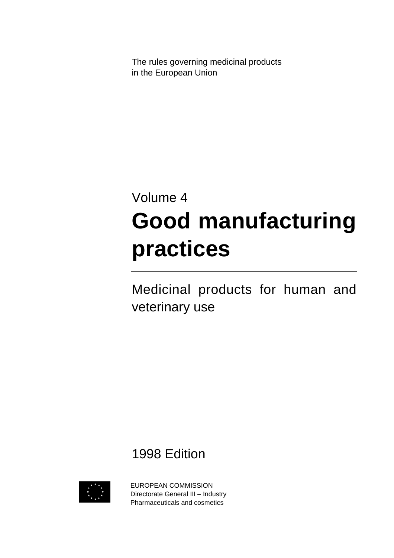The rules governing medicinal products in the European Union

# Volume 4 **Good manufacturing practices**

Medicinal products for human and veterinary use

1998 Edition



EUROPEAN COMMISSION Directorate General III – Industry Pharmaceuticals and cosmetics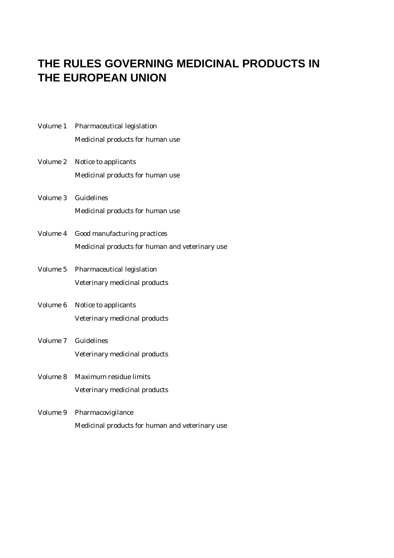### **THE RULES GOVERNING MEDICINAL PRODUCTS IN THE EUROPEAN UNION**

|          | Volume 1 Pharmaceutical legislation             |
|----------|-------------------------------------------------|
|          | Medicinal products for human use                |
| Volume 2 | Notice to applicants                            |
|          | Medicinal products for human use                |
| Volume 3 | <b>Guidelines</b>                               |
|          | Medicinal products for human use                |
|          | Volume 4 Good manufacturing practices           |
|          | Medicinal products for human and veterinary use |
| Volume 5 | Pharmaceutical legislation                      |
|          | Veterinary medicinal products                   |
| Volume 6 | Notice to applicants                            |
|          | Veterinary medicinal products                   |
| Volume 7 | Guidelines                                      |
|          | Veterinary medicinal products                   |
|          | Volume 8 Maximum residue limits                 |
|          | Veterinary medicinal products                   |
| Volume 9 | Pharmacovigilance                               |
|          | Medicinal products for human and veterinary use |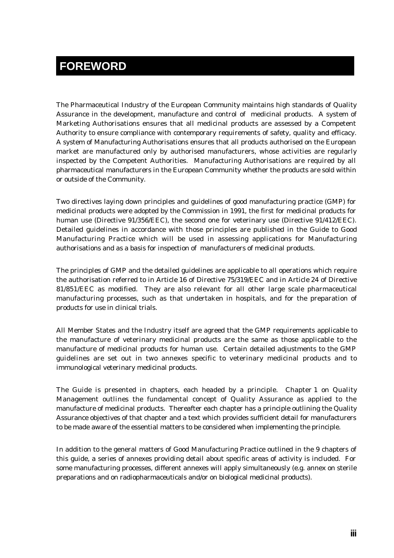#### **FOREWORD**

The Pharmaceutical Industry of the European Community maintains high standards of Quality Assurance in the development, manufacture and control of medicinal products. A system of Marketing Authorisations ensures that all medicinal products are assessed by a Competent Authority to ensure compliance with contemporary requirements of safety, quality and efficacy. A system of Manufacturing Authorisations ensures that all products authorised on the European market are manufactured only by authorised manufacturers, whose activities are regularly inspected by the Competent Authorities. Manufacturing Authorisations are required by all pharmaceutical manufacturers in the European Community whether the products are sold within or outside of the Community.

Two directives laying down principles and guidelines of good manufacturing practice (GMP) for medicinal products were adopted by the Commission in 1991, the first for medicinal products for human use (Directive 91/356/EEC), the second one for veterinary use (Directive 91/412/EEC). Detailed guidelines in accordance with those principles are published in the Guide to Good Manufacturing Practice which will be used in assessing applications for Manufacturing authorisations and as a basis for inspection of manufacturers of medicinal products.

The principles of GMP and the detailed guidelines are applicable to all operations which require the authorisation referred to in Article 16 of Directive 75/319/EEC and in Article 24 of Directive 81/851/EEC as modified. They are also relevant for all other large scale pharmaceutical manufacturing processes, such as that undertaken in hospitals, and for the preparation of products for use in clinical trials.

All Member States and the Industry itself are agreed that the GMP requirements applicable to the manufacture of veterinary medicinal products are the same as those applicable to the manufacture of medicinal products for human use. Certain detailed adjustments to the GMP guidelines are set out in two annexes specific to veterinary medicinal products and to immunological veterinary medicinal products.

The Guide is presented in chapters, each headed by a principle. Chapter 1 on Quality Management outlines the fundamental concept of Quality Assurance as applied to the manufacture of medicinal products. Thereafter each chapter has a principle outlining the Quality Assurance objectives of that chapter and a text which provides sufficient detail for manufacturers to be made aware of the essential matters to be considered when implementing the principle.

In addition to the general matters of Good Manufacturing Practice outlined in the 9 chapters of this guide, a series of annexes providing detail about specific areas of activity is included. For some manufacturing processes, different annexes will apply simultaneously (e.g. annex on sterile preparations and on radiopharmaceuticals and/or on biological medicinal products).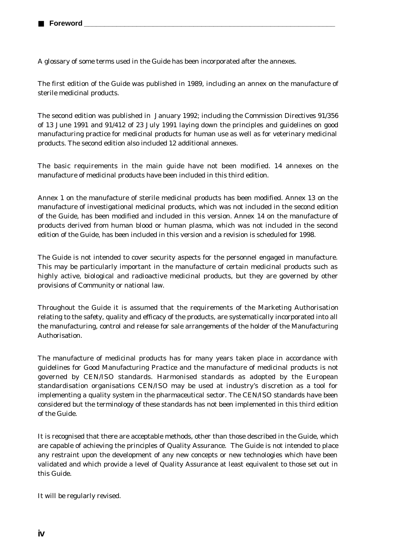A glossary of some terms used in the Guide has been incorporated after the annexes.

The first edition of the Guide was published in 1989, including an annex on the manufacture of sterile medicinal products.

The second edition was published in January 1992; including the Commission Directives 91/356 of 13 June 1991 and 91/412 of 23 July 1991 laying down the principles and guidelines on good manufacturing practice for medicinal products for human use as well as for veterinary medicinal products. The second edition also included 12 additional annexes.

The basic requirements in the main guide have not been modified. 14 annexes on the manufacture of medicinal products have been included in this third edition.

Annex 1 on the manufacture of sterile medicinal products has been modified. Annex 13 on the manufacture of investigational medicinal products, which was not included in the second edition of the Guide, has been modified and included in this version. Annex 14 on the manufacture of products derived from human blood or human plasma, which was not included in the second edition of the Guide, has been included in this version and a revision is scheduled for 1998.

The Guide is not intended to cover security aspects for the personnel engaged in manufacture. This may be particularly important in the manufacture of certain medicinal products such as highly active, biological and radioactive medicinal products, but they are governed by other provisions of Community or national law.

Throughout the Guide it is assumed that the requirements of the Marketing Authorisation relating to the safety, quality and efficacy of the products, are systematically incorporated into all the manufacturing, control and release for sale arrangements of the holder of the Manufacturing Authorisation.

The manufacture of medicinal products has for many years taken place in accordance with guidelines for Good Manufacturing Practice and the manufacture of medicinal products is not governed by CEN/ISO standards. Harmonised standards as adopted by the European standardisation organisations CEN/ISO may be used at industry's discretion as a tool for implementing a quality system in the pharmaceutical sector. The CEN/ISO standards have been considered but the terminology of these standards has not been implemented in this third edition of the Guide.

It is recognised that there are acceptable methods, other than those described in the Guide, which are capable of achieving the principles of Quality Assurance. The Guide is not intended to place any restraint upon the development of any new concepts or new technologies which have been validated and which provide a level of Quality Assurance at least equivalent to those set out in this Guide.

It will be regularly revised.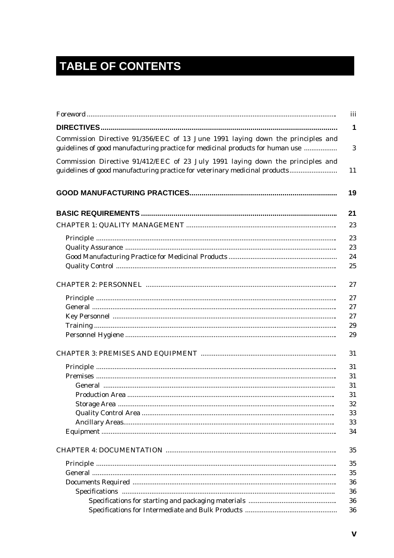## **TABLE OF CONTENTS**

| Commission Directive 91/356/EEC of 13 June 1991 laying down the principles and<br>guidelines of good manufacturing practice for medicinal products for human use |  |  |  |  |
|------------------------------------------------------------------------------------------------------------------------------------------------------------------|--|--|--|--|
| Commission Directive 91/412/EEC of 23 July 1991 laying down the principles and<br>guidelines of good manufacturing practice for veterinary medicinal products    |  |  |  |  |
|                                                                                                                                                                  |  |  |  |  |
|                                                                                                                                                                  |  |  |  |  |
|                                                                                                                                                                  |  |  |  |  |
|                                                                                                                                                                  |  |  |  |  |
|                                                                                                                                                                  |  |  |  |  |
|                                                                                                                                                                  |  |  |  |  |
|                                                                                                                                                                  |  |  |  |  |
|                                                                                                                                                                  |  |  |  |  |
|                                                                                                                                                                  |  |  |  |  |
|                                                                                                                                                                  |  |  |  |  |
|                                                                                                                                                                  |  |  |  |  |
|                                                                                                                                                                  |  |  |  |  |
|                                                                                                                                                                  |  |  |  |  |
|                                                                                                                                                                  |  |  |  |  |
|                                                                                                                                                                  |  |  |  |  |
|                                                                                                                                                                  |  |  |  |  |
|                                                                                                                                                                  |  |  |  |  |
|                                                                                                                                                                  |  |  |  |  |
|                                                                                                                                                                  |  |  |  |  |
|                                                                                                                                                                  |  |  |  |  |
|                                                                                                                                                                  |  |  |  |  |
|                                                                                                                                                                  |  |  |  |  |
|                                                                                                                                                                  |  |  |  |  |
|                                                                                                                                                                  |  |  |  |  |
|                                                                                                                                                                  |  |  |  |  |
|                                                                                                                                                                  |  |  |  |  |
|                                                                                                                                                                  |  |  |  |  |
|                                                                                                                                                                  |  |  |  |  |
|                                                                                                                                                                  |  |  |  |  |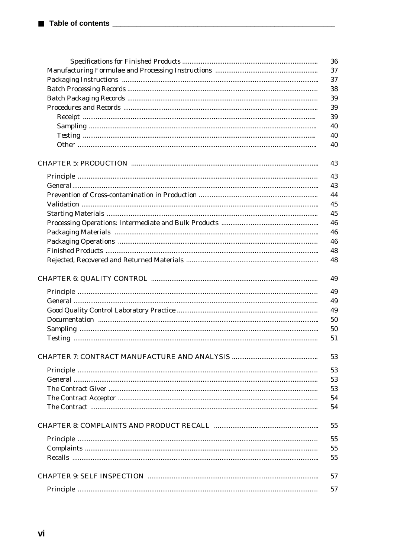|  | 36 |  |  |
|--|----|--|--|
|  |    |  |  |
|  | 37 |  |  |
|  | 38 |  |  |
|  | 39 |  |  |
|  | 39 |  |  |
|  | 39 |  |  |
|  | 40 |  |  |
|  | 40 |  |  |
|  | 40 |  |  |
|  | 43 |  |  |
|  | 43 |  |  |
|  | 43 |  |  |
|  | 44 |  |  |
|  | 45 |  |  |
|  | 45 |  |  |
|  | 46 |  |  |
|  | 46 |  |  |
|  | 46 |  |  |
|  | 48 |  |  |
|  | 48 |  |  |
|  |    |  |  |
|  | 49 |  |  |
|  | 49 |  |  |
|  | 49 |  |  |
|  | 49 |  |  |
|  | 50 |  |  |
|  | 50 |  |  |
|  | 51 |  |  |
|  | 53 |  |  |
|  | 53 |  |  |
|  | 53 |  |  |
|  | 53 |  |  |
|  | 54 |  |  |
|  | 54 |  |  |
|  |    |  |  |
|  | 55 |  |  |
|  | 55 |  |  |
|  | 55 |  |  |
|  | 55 |  |  |
|  | 57 |  |  |
|  | 57 |  |  |
|  |    |  |  |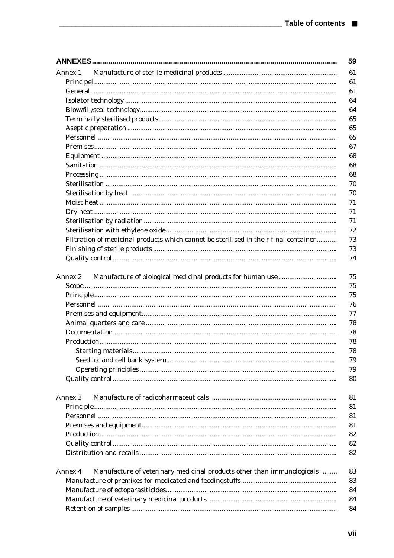|                                                                                      | 59             |
|--------------------------------------------------------------------------------------|----------------|
| Annex 1                                                                              | 61             |
|                                                                                      | 61             |
|                                                                                      | 61             |
|                                                                                      | 64             |
|                                                                                      | 64             |
|                                                                                      | 65             |
|                                                                                      | 65             |
|                                                                                      | 65             |
|                                                                                      | 67             |
|                                                                                      | 68             |
|                                                                                      | 68             |
|                                                                                      | 68             |
|                                                                                      | 70             |
|                                                                                      | 70             |
|                                                                                      | 71             |
|                                                                                      | 71             |
|                                                                                      | 71             |
|                                                                                      | 72             |
| Filtration of medicinal products which cannot be sterilised in their final container | 73             |
|                                                                                      |                |
|                                                                                      | 74             |
| Annex 2                                                                              | 75<br>75<br>75 |
|                                                                                      | 76             |
|                                                                                      | 77             |
|                                                                                      |                |
|                                                                                      |                |
|                                                                                      |                |
|                                                                                      |                |
|                                                                                      |                |
|                                                                                      |                |
|                                                                                      |                |
|                                                                                      |                |
| Annex 3                                                                              |                |
|                                                                                      |                |
|                                                                                      |                |
|                                                                                      |                |
|                                                                                      |                |
|                                                                                      |                |
|                                                                                      |                |
|                                                                                      |                |
| Manufacture of veterinary medicinal products other than immunologicals<br>Annex 4    |                |
|                                                                                      |                |
|                                                                                      |                |
|                                                                                      |                |
|                                                                                      |                |
|                                                                                      | 84             |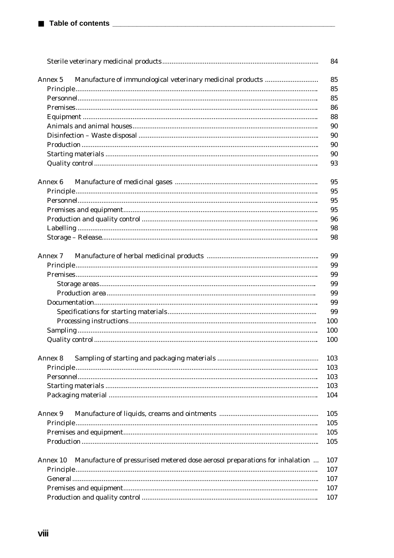|                                                                                         | 84  |
|-----------------------------------------------------------------------------------------|-----|
| Manufacture of immunological veterinary medicinal products<br>Annex 5                   | 85  |
|                                                                                         | 85  |
|                                                                                         | 85  |
|                                                                                         | 86  |
|                                                                                         | 88  |
|                                                                                         | 90  |
|                                                                                         | 90  |
|                                                                                         | 90  |
|                                                                                         | 90  |
|                                                                                         | 93  |
|                                                                                         |     |
| Annex 6                                                                                 | 95  |
|                                                                                         | 95  |
|                                                                                         | 95  |
|                                                                                         | 95  |
|                                                                                         | 96  |
|                                                                                         | 98  |
|                                                                                         | 98  |
| Annex 7                                                                                 | 99  |
|                                                                                         | 99  |
|                                                                                         | 99  |
|                                                                                         | 99  |
|                                                                                         | 99  |
|                                                                                         | 99  |
|                                                                                         | 99  |
|                                                                                         | 100 |
|                                                                                         | 100 |
|                                                                                         | 100 |
|                                                                                         |     |
| Annex 8                                                                                 | 103 |
|                                                                                         | 103 |
|                                                                                         | 103 |
|                                                                                         | 103 |
|                                                                                         | 104 |
| Annex 9                                                                                 | 105 |
|                                                                                         | 105 |
|                                                                                         | 105 |
|                                                                                         | 105 |
|                                                                                         |     |
| Manufacture of pressurised metered dose aerosol preparations for inhalation<br>Annex 10 | 107 |
|                                                                                         | 107 |
|                                                                                         | 107 |
|                                                                                         | 107 |
|                                                                                         | 107 |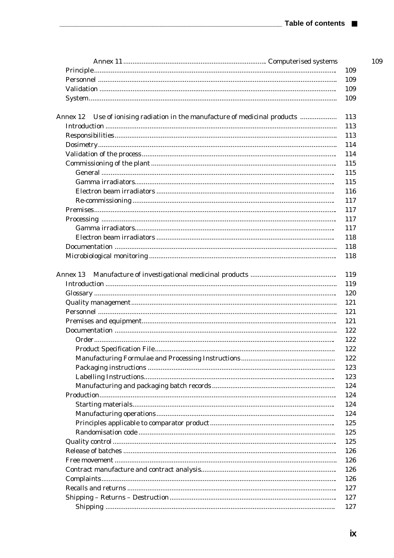| Use of ionising radiation in the manufacture of medicinal products<br>Annex 12 |  |
|--------------------------------------------------------------------------------|--|
|                                                                                |  |
|                                                                                |  |
|                                                                                |  |
|                                                                                |  |
|                                                                                |  |
|                                                                                |  |
|                                                                                |  |
|                                                                                |  |
|                                                                                |  |
|                                                                                |  |
|                                                                                |  |
|                                                                                |  |
|                                                                                |  |
|                                                                                |  |
|                                                                                |  |
|                                                                                |  |
|                                                                                |  |
|                                                                                |  |
|                                                                                |  |
|                                                                                |  |
|                                                                                |  |
|                                                                                |  |
|                                                                                |  |
|                                                                                |  |
|                                                                                |  |
|                                                                                |  |
|                                                                                |  |
|                                                                                |  |
|                                                                                |  |
|                                                                                |  |
|                                                                                |  |
|                                                                                |  |
|                                                                                |  |
|                                                                                |  |
|                                                                                |  |
|                                                                                |  |
|                                                                                |  |
|                                                                                |  |